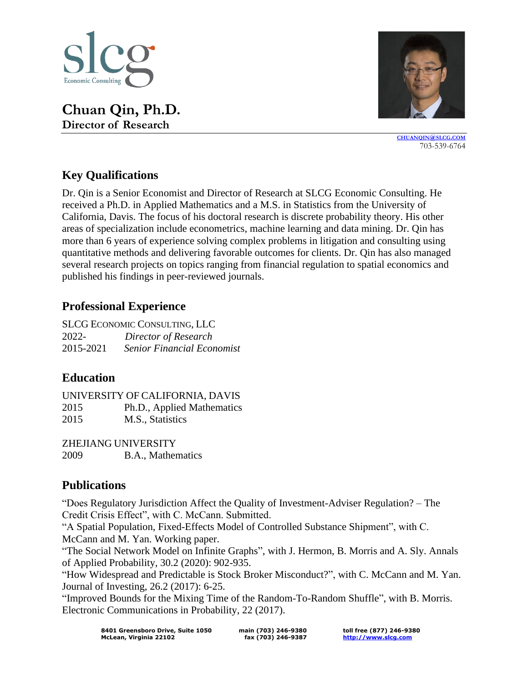

**Chuan Qin, Ph.D. Director of Research**



**[CHUANQIN](mailto:chuanqin@slcg.com)@SLCG.COM** 703-539-6764

## **Key Qualifications**

Dr. Qin is a Senior Economist and Director of Research at SLCG Economic Consulting. He received a Ph.D. in Applied Mathematics and a M.S. in Statistics from the University of California, Davis. The focus of his doctoral research is discrete probability theory. His other areas of specialization include econometrics, machine learning and data mining. Dr. Qin has more than 6 years of experience solving complex problems in litigation and consulting using quantitative methods and delivering favorable outcomes for clients. Dr. Qin has also managed several research projects on topics ranging from financial regulation to spatial economics and published his findings in peer-reviewed journals.

#### **Professional Experience**

SLCG ECONOMIC CONSULTING, LLC 2022- *Director of Research* 2015-2021 *Senior Financial Economist*

#### **Education**

UNIVERSITY OF CALIFORNIA, DAVIS 2015 Ph.D., Applied Mathematics 2015 M.S., Statistics

ZHEJIANG UNIVERSITY 2009 B.A., Mathematics

### **Publications**

"Does Regulatory Jurisdiction Affect the Quality of Investment-Adviser Regulation? – The Credit Crisis Effect", with C. McCann. Submitted.

"A Spatial Population, Fixed-Effects Model of Controlled Substance Shipment", with C. McCann and M. Yan. Working paper.

"The Social Network Model on Infinite Graphs", with J. Hermon, B. Morris and A. Sly. Annals of Applied Probability, 30.2 (2020): 902-935.

"How Widespread and Predictable is Stock Broker Misconduct?", with C. McCann and M. Yan. Journal of Investing, 26.2 (2017): 6-25.

"Improved Bounds for the Mixing Time of the Random-To-Random Shuffle", with B. Morris. Electronic Communications in Probability, 22 (2017).

**toll free (877) 246-9380 [http://www.slcg.com](http://www.slcg.com/)**